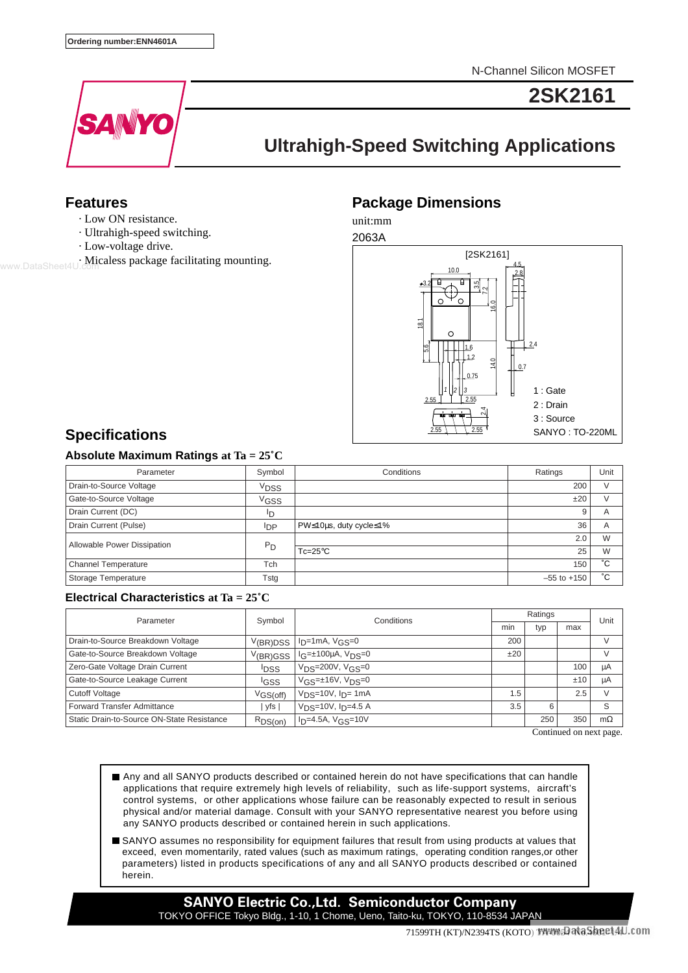N-Channel Silicon MOSFET



**2SK2161**

# **Ultrahigh-Speed Switching Applications**

### **Features**

- · Low ON resistance.
- · Ultrahigh-speed switching.
- · Low-voltage drive.
- · Micaless package facilitating mounting.

## **Package Dimensions**

unit:mm



# **Specifications**

### **Absolute Maximum Ratings at Ta = 25˚C**

| Parameter                   | Symbol           | Conditions             | Ratings         | Unit           |
|-----------------------------|------------------|------------------------|-----------------|----------------|
| Drain-to-Source Voltage     | V <sub>DSS</sub> |                        | 200             |                |
| Gate-to-Source Voltage      | V <sub>GSS</sub> |                        | ±20             |                |
| Drain Current (DC)          | םי               |                        | 9               | $\overline{A}$ |
| Drain Current (Pulse)       | lDP              | PW≤10µs, duty cycle≤1% | 36              | A              |
| Allowable Power Dissipation | $P_D$            |                        | 2.0             | W              |
|                             |                  | $Tc=25^{\circ}C$       | 25              | W              |
| <b>Channel Temperature</b>  | Tch              |                        | 150             | °С             |
| Storage Temperature         | Tstg             |                        | $-55$ to $+150$ | °С             |

### **Electrical Characteristics at Ta = 25˚C**

| Parameter                                  | Symbol                | Conditions                             | Ratings |     |     | Unit      |
|--------------------------------------------|-----------------------|----------------------------------------|---------|-----|-----|-----------|
|                                            |                       |                                        | min     | typ | max |           |
| Drain-to-Source Breakdown Voltage          | V <sub>(BR)</sub> DSS | $I_{D}$ =1mA, $V_{GS}=0$               | 200     |     |     | $\sqrt{}$ |
| Gate-to-Source Breakdown Voltage           | V(BR)GSS              | $l_G=±100\mu A, V_DS=0$                | ±20     |     |     |           |
| Zero-Gate Voltage Drain Current            | <sup>I</sup> DSS      | $V_{DS} = 200V, V_{GS} = 0$            |         |     | 100 | μA        |
| Gate-to-Source Leakage Current             | <sup>I</sup> GSS      | $V$ <sub>GS</sub> = $\pm$ 16V, $VDS=0$ |         |     | ±10 | μA        |
| <b>Cutoff Voltage</b>                      | VGS(off)              | $V_{DS} = 10V$ , $I_{D} = 1mA$         | 1.5     |     | 2.5 |           |
| <b>Forward Transfer Admittance</b>         | yfs                   | $V_{DS}$ =10V, $I_{D}$ =4.5 A          | 3.5     | 6   |     | S         |
| Static Drain-to-Source ON-State Resistance | $R_{DS(on)}$          | $ID=4.5A, VG.S=10V$                    |         | 250 | 350 | $m\Omega$ |

Continued on next page.

- Any and all SANYO products described or contained herein do not have specifications that can handle applications that require extremely high levels of reliability, such as life-support systems, aircraft's control systems, or other applications whose failure can be reasonably expected to result in serious physical and/or material damage. Consult with your SANYO representative nearest you before using any SANYO products described or contained herein in such applications.
- SANYO assumes no responsibility for equipment failures that result from using products at values that exceed, even momentarily, rated values (such as maximum ratings, operating condition ranges,or other parameters) listed in products specifications of any and all SANYO products described or contained herein.

**SANYO Electric Co.,Ltd. Semiconductor Company** TOKYO OFFICE Tokyo Bldg., 1-10, 1 Chome, Ueno, Taito-ku, TOKYO, 110-8534 JAPAN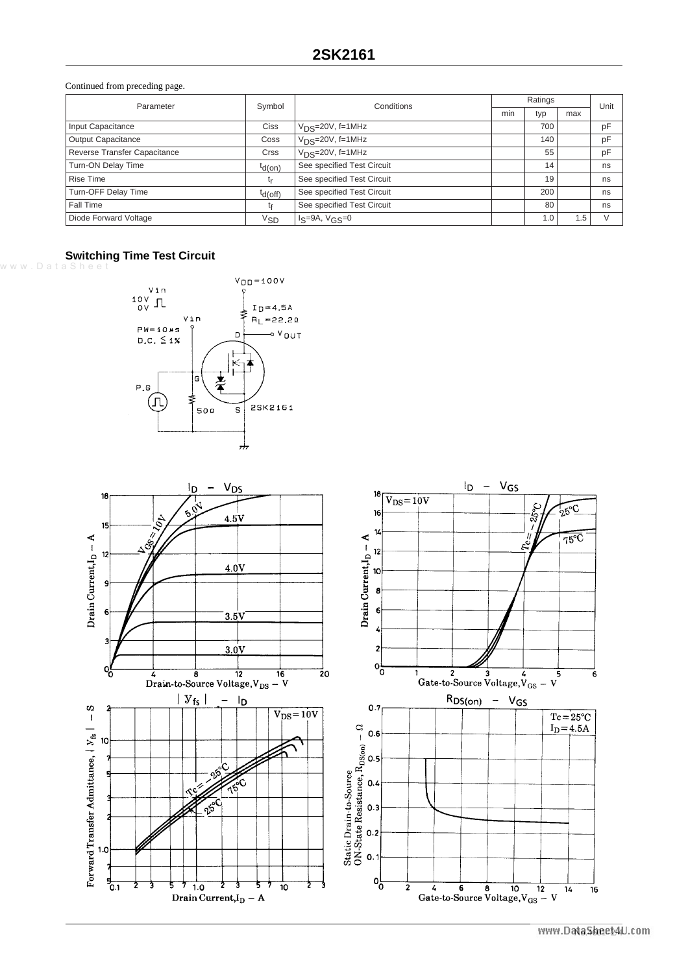Continued from preceding page.

| Parameter                    | Symbol    | Conditions                 | Ratings |     |     | Unit |
|------------------------------|-----------|----------------------------|---------|-----|-----|------|
|                              |           |                            | min     | typ | max |      |
| Input Capacitance            | Ciss      | $VDS=20V, f=1MHz$          |         | 700 |     | pF   |
| <b>Output Capacitance</b>    | Coss      | $V_{DS}$ =20 $V$ , f=1MHz  |         | 140 |     | pF   |
| Reverse Transfer Capacitance | Crss      | $V_{DS}$ =20 $V$ , f=1MHz  |         | 55  |     | pF   |
| Turn-ON Delay Time           | $td(on)$  | See specified Test Circuit |         | 14  |     | ns   |
| <b>Rise Time</b>             | L۳        | See specified Test Circuit |         | 19  |     | ns   |
| Turn-OFF Delay Time          | $td(off)$ | See specified Test Circuit |         | 200 |     | ns   |
| Fall Time                    | tғ        | See specified Test Circuit |         | 80  |     | ns   |
| Diode Forward Voltage        | Vsd       | $I_S=9A, V_{GS}=0$         |         | 1.0 | 1.5 |      |

#### **Switching Time Test Circuit**

www.DataShee



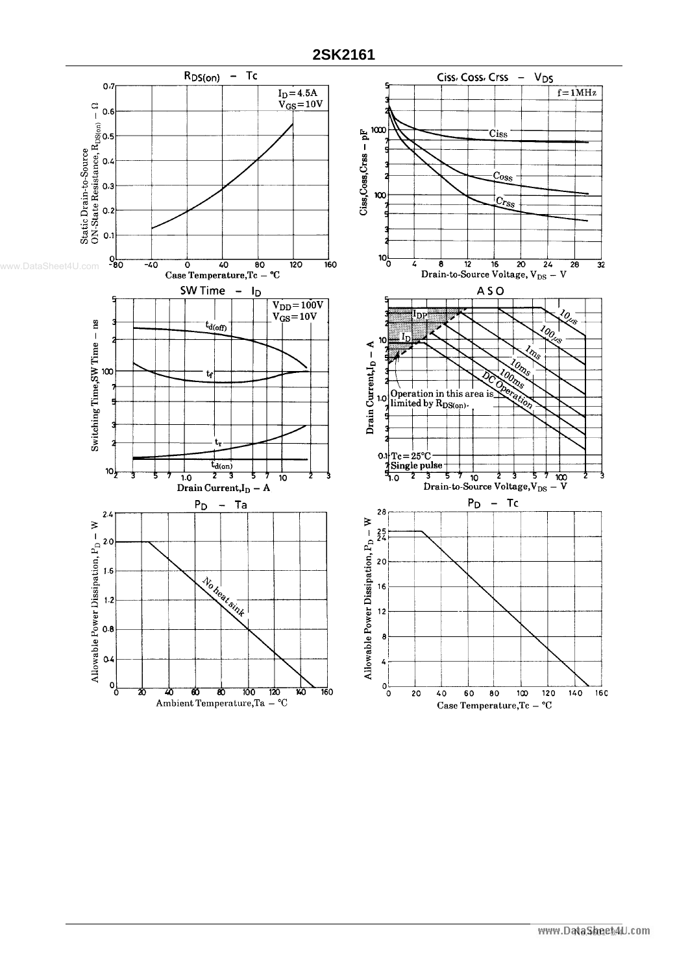